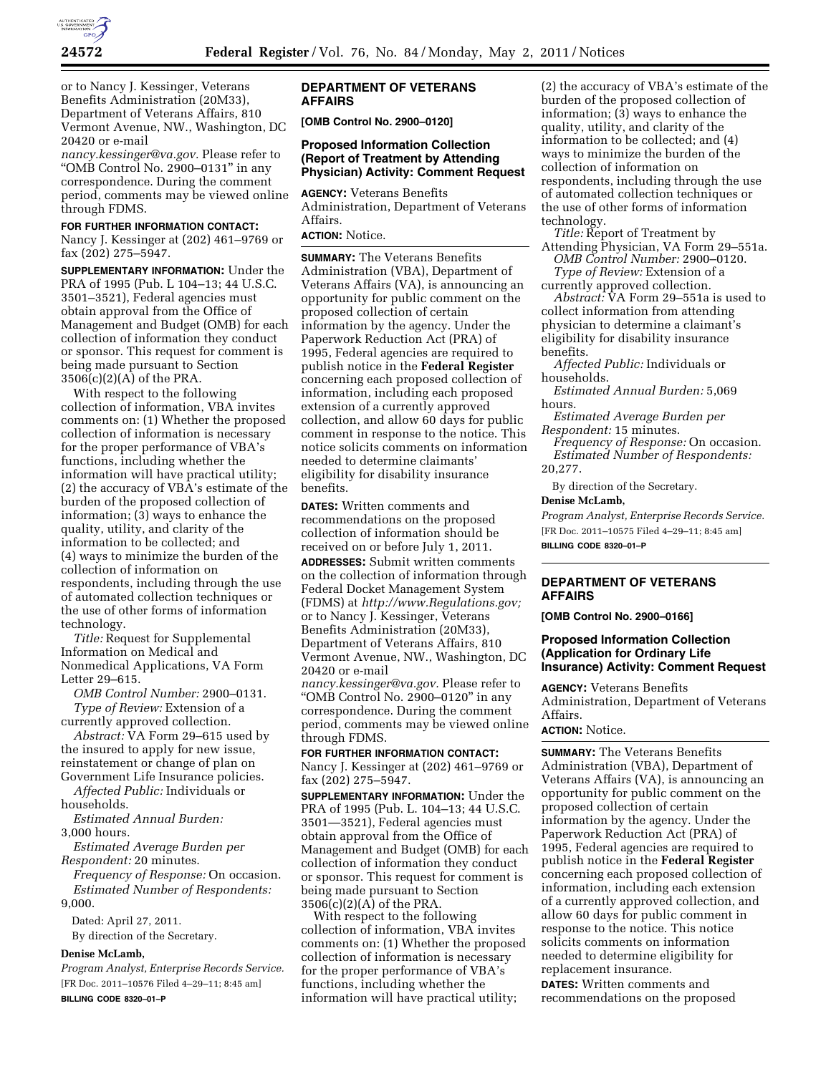

or to Nancy J. Kessinger, Veterans Benefits Administration (20M33), Department of Veterans Affairs, 810 Vermont Avenue, NW., Washington, DC 20420 or e-mail

*[nancy.kessinger@va.gov.](mailto:nancy.kessinger@va.gov)* Please refer to "OMB Control No. 2900–0131" in any correspondence. During the comment period, comments may be viewed online through FDMS.

### **FOR FURTHER INFORMATION CONTACT:**

Nancy J. Kessinger at (202) 461–9769 or fax (202) 275–5947.

**SUPPLEMENTARY INFORMATION:** Under the PRA of 1995 (Pub. L 104–13; 44 U.S.C. 3501–3521), Federal agencies must obtain approval from the Office of Management and Budget (OMB) for each collection of information they conduct or sponsor. This request for comment is being made pursuant to Section 3506(c)(2)(A) of the PRA.

With respect to the following collection of information, VBA invites comments on: (1) Whether the proposed collection of information is necessary for the proper performance of VBA's functions, including whether the information will have practical utility; (2) the accuracy of VBA's estimate of the burden of the proposed collection of information; (3) ways to enhance the quality, utility, and clarity of the information to be collected; and (4) ways to minimize the burden of the collection of information on respondents, including through the use of automated collection techniques or the use of other forms of information technology.

*Title:* Request for Supplemental Information on Medical and Nonmedical Applications, VA Form Letter 29–615.

*OMB Control Number:* 2900–0131. *Type of Review:* Extension of a currently approved collection.

*Abstract:* VA Form 29–615 used by the insured to apply for new issue, reinstatement or change of plan on Government Life Insurance policies.

*Affected Public:* Individuals or households.

*Estimated Annual Burden:*  3,000 hours.

*Estimated Average Burden per Respondent:* 20 minutes.

*Frequency of Response:* On occasion. *Estimated Number of Respondents:*  9,000.

Dated: April 27, 2011.

By direction of the Secretary.

# **Denise McLamb,**

*Program Analyst, Enterprise Records Service.*  [FR Doc. 2011–10576 Filed 4–29–11; 8:45 am] **BILLING CODE 8320–01–P** 

### **DEPARTMENT OF VETERANS AFFAIRS**

**[OMB Control No. 2900–0120]** 

### **Proposed Information Collection (Report of Treatment by Attending Physician) Activity: Comment Request**

**AGENCY:** Veterans Benefits Administration, Department of Veterans Affairs.

**ACTION:** Notice.

**SUMMARY:** The Veterans Benefits Administration (VBA), Department of Veterans Affairs (VA), is announcing an opportunity for public comment on the proposed collection of certain information by the agency. Under the Paperwork Reduction Act (PRA) of 1995, Federal agencies are required to publish notice in the **Federal Register**  concerning each proposed collection of information, including each proposed extension of a currently approved collection, and allow 60 days for public comment in response to the notice. This notice solicits comments on information needed to determine claimants' eligibility for disability insurance benefits.

**DATES:** Written comments and recommendations on the proposed collection of information should be received on or before July 1, 2011.

**ADDRESSES:** Submit written comments on the collection of information through Federal Docket Management System (FDMS) at *[http://www.Regulations.gov;](http://www.Regulations.gov)*  or to Nancy J. Kessinger, Veterans Benefits Administration (20M33), Department of Veterans Affairs, 810 Vermont Avenue, NW., Washington, DC 20420 or e-mail

*[nancy.kessinger@va.gov.](mailto:nancy.kessinger@va.gov)* Please refer to "OMB Control No. 2900–0120" in any correspondence. During the comment period, comments may be viewed online through FDMS.

**FOR FURTHER INFORMATION CONTACT:**  Nancy J. Kessinger at (202) 461–9769 or fax (202) 275–5947.

**SUPPLEMENTARY INFORMATION:** Under the PRA of 1995 (Pub. L. 104–13; 44 U.S.C. 3501—3521), Federal agencies must obtain approval from the Office of Management and Budget (OMB) for each collection of information they conduct or sponsor. This request for comment is being made pursuant to Section 3506(c)(2)(A) of the PRA.

With respect to the following collection of information, VBA invites comments on: (1) Whether the proposed collection of information is necessary for the proper performance of VBA's functions, including whether the information will have practical utility;

(2) the accuracy of VBA's estimate of the burden of the proposed collection of information; (3) ways to enhance the quality, utility, and clarity of the information to be collected; and (4) ways to minimize the burden of the collection of information on respondents, including through the use of automated collection techniques or the use of other forms of information technology.

*Title:* Report of Treatment by Attending Physician, VA Form 29–551a.

*OMB Control Number:* 2900–0120. *Type of Review:* Extension of a currently approved collection.

*Abstract:* VA Form 29–551a is used to collect information from attending physician to determine a claimant's eligibility for disability insurance benefits.

*Affected Public:* Individuals or households.

*Estimated Annual Burden:* 5,069 hours.

*Estimated Average Burden per Respondent:* 15 minutes.

*Frequency of Response:* On occasion. *Estimated Number of Respondents:*  20,277.

By direction of the Secretary.

### **Denise McLamb,**

*Program Analyst, Enterprise Records Service.*  [FR Doc. 2011–10575 Filed 4–29–11; 8:45 am] **BILLING CODE 8320–01–P** 

## **DEPARTMENT OF VETERANS AFFAIRS**

**[OMB Control No. 2900–0166]** 

### **Proposed Information Collection (Application for Ordinary Life Insurance) Activity: Comment Request**

**AGENCY:** Veterans Benefits Administration, Department of Veterans Affairs.

# **ACTION:** Notice.

**SUMMARY:** The Veterans Benefits Administration (VBA), Department of Veterans Affairs (VA), is announcing an opportunity for public comment on the proposed collection of certain information by the agency. Under the Paperwork Reduction Act (PRA) of 1995, Federal agencies are required to publish notice in the **Federal Register**  concerning each proposed collection of information, including each extension of a currently approved collection, and allow 60 days for public comment in response to the notice. This notice solicits comments on information needed to determine eligibility for replacement insurance.

**DATES:** Written comments and recommendations on the proposed